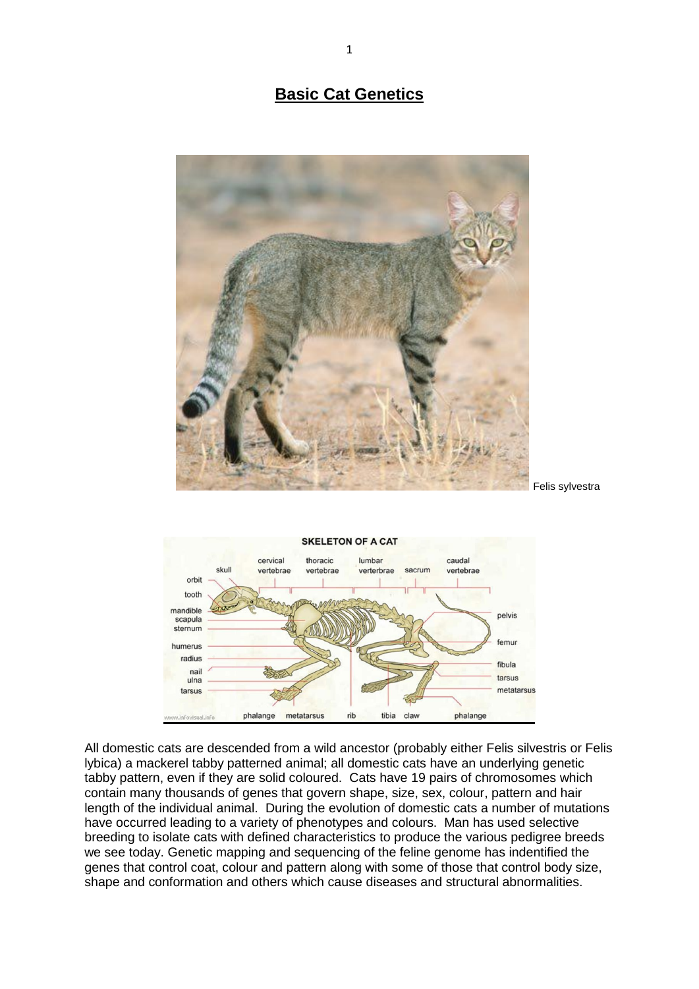## **Basic Cat Genetics**





All domestic cats are descended from a wild ancestor (probably either Felis silvestris or Felis lybica) a mackerel tabby patterned animal; all domestic cats have an underlying genetic tabby pattern, even if they are solid coloured. Cats have 19 pairs of chromosomes which contain many thousands of genes that govern shape, size, sex, colour, pattern and hair length of the individual animal. During the evolution of domestic cats a number of mutations have occurred leading to a variety of phenotypes and colours. Man has used selective breeding to isolate cats with defined characteristics to produce the various pedigree breeds we see today. Genetic mapping and sequencing of the feline genome has indentified the genes that control coat, colour and pattern along with some of those that control body size, shape and conformation and others which cause diseases and structural abnormalities.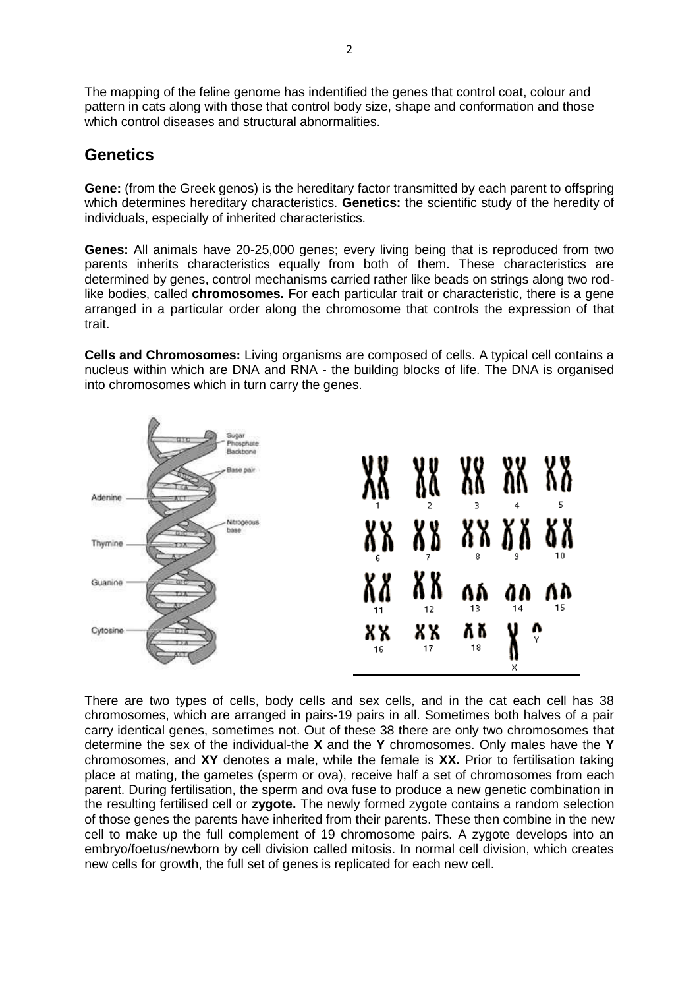The mapping of the feline genome has indentified the genes that control coat, colour and pattern in cats along with those that control body size, shape and conformation and those which control diseases and structural abnormalities.

## **Genetics**

**Gene:** (from the Greek genos) is the hereditary factor transmitted by each parent to offspring which determines hereditary characteristics. **Genetics:** the scientific study of the heredity of individuals, especially of inherited characteristics.

**Genes:** All animals have 20-25,000 genes; every living being that is reproduced from two parents inherits characteristics equally from both of them. These characteristics are determined by genes, control mechanisms carried rather like beads on strings along two rodlike bodies, called **chromosomes.** For each particular trait or characteristic, there is a gene arranged in a particular order along the chromosome that controls the expression of that trait.

**Cells and Chromosomes:** Living organisms are composed of cells. A typical cell contains a nucleus within which are DNA and RNA - the building blocks of life. The DNA is organised into chromosomes which in turn carry the genes.



There are two types of cells, body cells and sex cells, and in the cat each cell has 38 chromosomes, which are arranged in pairs-19 pairs in all. Sometimes both halves of a pair carry identical genes, sometimes not. Out of these 38 there are only two chromosomes that determine the sex of the individual-the **X** and the **Y** chromosomes. Only males have the **Y**  chromosomes, and **XY** denotes a male, while the female is **XX.** Prior to fertilisation taking place at mating, the gametes (sperm or ova), receive half a set of chromosomes from each parent. During fertilisation, the sperm and ova fuse to produce a new genetic combination in the resulting fertilised cell or **zygote.** The newly formed zygote contains a random selection of those genes the parents have inherited from their parents. These then combine in the new cell to make up the full complement of 19 chromosome pairs. A zygote develops into an embryo/foetus/newborn by cell division called mitosis. In normal cell division, which creates new cells for growth, the full set of genes is replicated for each new cell.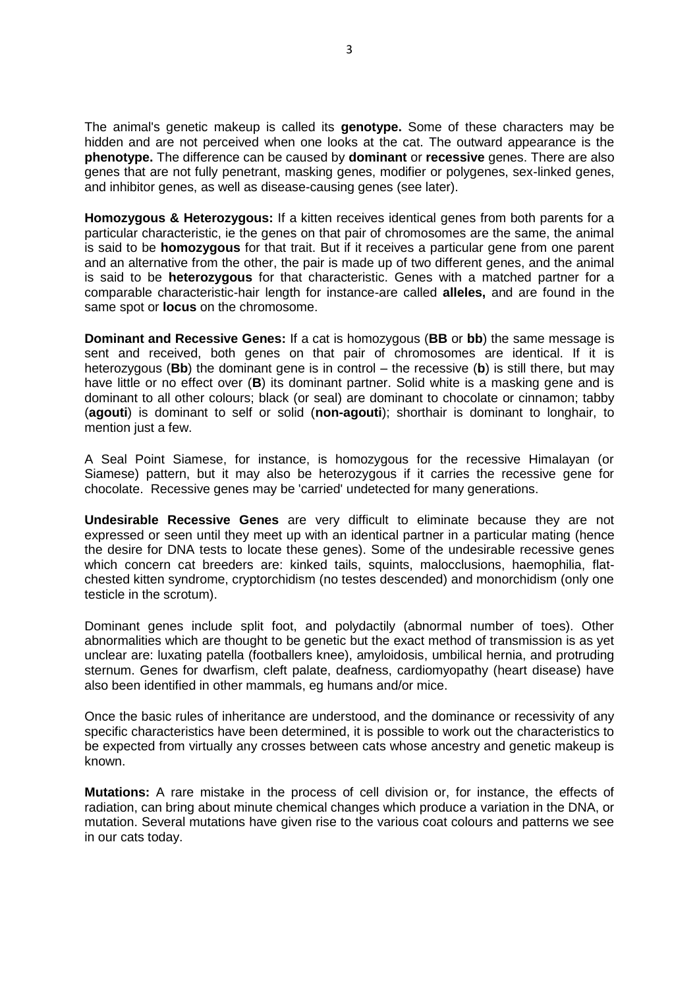The animal's genetic makeup is called its **genotype.** Some of these characters may be hidden and are not perceived when one looks at the cat. The outward appearance is the **phenotype.** The difference can be caused by **dominant** or **recessive** genes. There are also genes that are not fully penetrant, masking genes, modifier or polygenes, sex-linked genes, and inhibitor genes, as well as disease-causing genes (see later).

**Homozygous & Heterozygous:** If a kitten receives identical genes from both parents for a particular characteristic, ie the genes on that pair of chromosomes are the same, the animal is said to be **homozygous** for that trait. But if it receives a particular gene from one parent and an alternative from the other, the pair is made up of two different genes, and the animal is said to be **heterozygous** for that characteristic. Genes with a matched partner for a comparable characteristic-hair length for instance-are called **alleles,** and are found in the same spot or **locus** on the chromosome.

**Dominant and Recessive Genes:** If a cat is homozygous (**BB** or **bb**) the same message is sent and received, both genes on that pair of chromosomes are identical. If it is heterozygous (**Bb**) the dominant gene is in control – the recessive (**b**) is still there, but may have little or no effect over (**B**) its dominant partner. Solid white is a masking gene and is dominant to all other colours; black (or seal) are dominant to chocolate or cinnamon; tabby (**agouti**) is dominant to self or solid (**non-agouti**); shorthair is dominant to longhair, to mention just a few.

A Seal Point Siamese, for instance, is homozygous for the recessive Himalayan (or Siamese) pattern, but it may also be heterozygous if it carries the recessive gene for chocolate. Recessive genes may be 'carried' undetected for many generations.

**Undesirable Recessive Genes** are very difficult to eliminate because they are not expressed or seen until they meet up with an identical partner in a particular mating (hence the desire for DNA tests to locate these genes). Some of the undesirable recessive genes which concern cat breeders are: kinked tails, squints, malocclusions, haemophilia, flatchested kitten syndrome, cryptorchidism (no testes descended) and monorchidism (only one testicle in the scrotum).

Dominant genes include split foot, and polydactily (abnormal number of toes). Other abnormalities which are thought to be genetic but the exact method of transmission is as yet unclear are: luxating patella (footballers knee), amyloidosis, umbilical hernia, and protruding sternum. Genes for dwarfism, cleft palate, deafness, cardiomyopathy (heart disease) have also been identified in other mammals, eg humans and/or mice.

Once the basic rules of inheritance are understood, and the dominance or recessivity of any specific characteristics have been determined, it is possible to work out the characteristics to be expected from virtually any crosses between cats whose ancestry and genetic makeup is known.

**Mutations:** A rare mistake in the process of cell division or, for instance, the effects of radiation, can bring about minute chemical changes which produce a variation in the DNA, or mutation. Several mutations have given rise to the various coat colours and patterns we see in our cats today.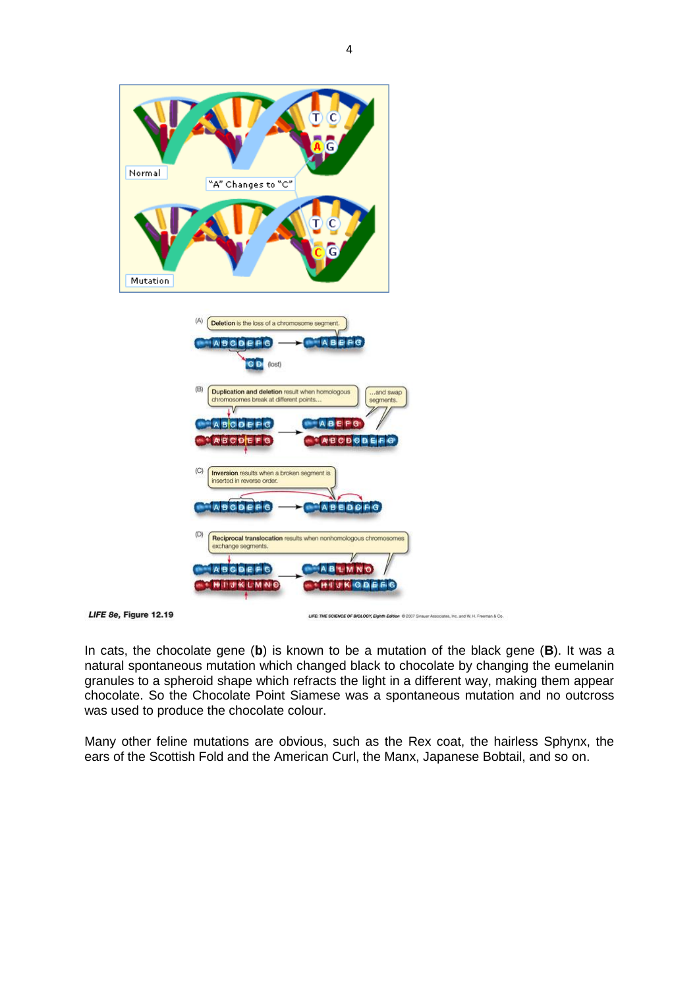

In cats, the chocolate gene (**b**) is known to be a mutation of the black gene (**B**). It was a natural spontaneous mutation which changed black to chocolate by changing the eumelanin granules to a spheroid shape which refracts the light in a different way, making them appear chocolate. So the Chocolate Point Siamese was a spontaneous mutation and no outcross

was used to produce the chocolate colour.

Many other feline mutations are obvious, such as the Rex coat, the hairless Sphynx, the ears of the Scottish Fold and the American Curl, the Manx, Japanese Bobtail, and so on.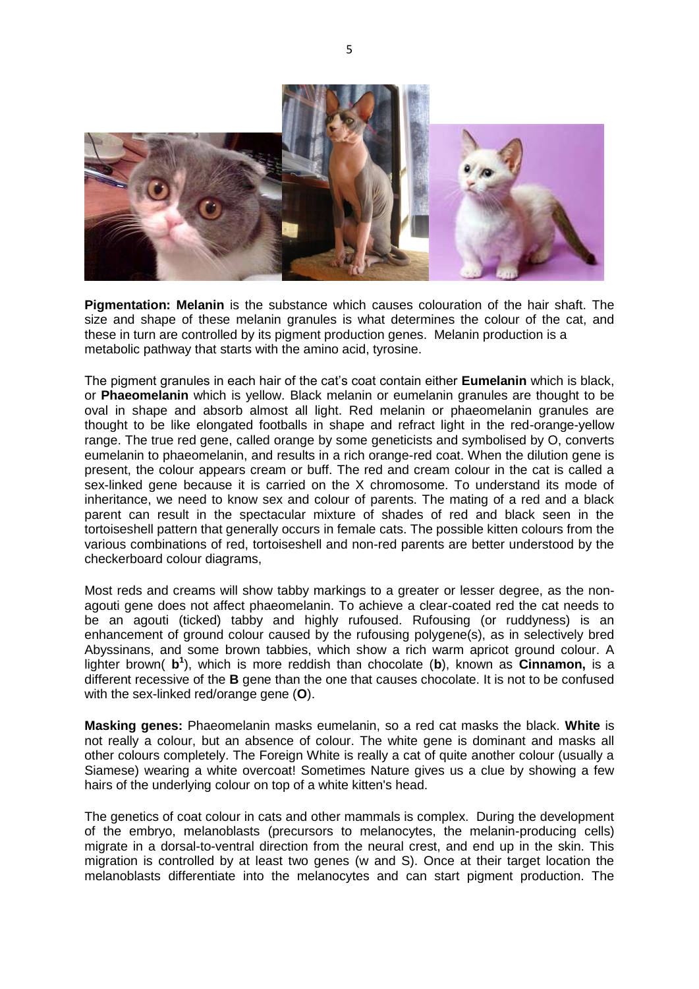

**Pigmentation: Melanin** is the substance which causes colouration of the hair shaft. The size and shape of these melanin granules is what determines the colour of the cat, and these in turn are controlled by its pigment production genes. Melanin production is a metabolic pathway that starts with the amino acid, tyrosine.

The pigment granules in each hair of the cat's coat contain either **Eumelanin** which is black, or **Phaeomelanin** which is yellow. Black melanin or eumelanin granules are thought to be oval in shape and absorb almost all light. Red melanin or phaeomelanin granules are thought to be like elongated footballs in shape and refract light in the red-orange-yellow range. The true red gene, called orange by some geneticists and symbolised by O, converts eumelanin to phaeomelanin, and results in a rich orange-red coat. When the dilution gene is present, the colour appears cream or buff. The red and cream colour in the cat is called a sex-linked gene because it is carried on the X chromosome. To understand its mode of inheritance, we need to know sex and colour of parents. The mating of a red and a black parent can result in the spectacular mixture of shades of red and black seen in the tortoiseshell pattern that generally occurs in female cats. The possible kitten colours from the various combinations of red, tortoiseshell and non-red parents are better understood by the checkerboard colour diagrams,

Most reds and creams will show tabby markings to a greater or lesser degree, as the nonagouti gene does not affect phaeomelanin. To achieve a clear-coated red the cat needs to be an agouti (ticked) tabby and highly rufoused. Rufousing (or ruddyness) is an enhancement of ground colour caused by the rufousing polygene(s), as in selectively bred Abyssinans, and some brown tabbies, which show a rich warm apricot ground colour. A lighter brown( **b 1** ), which is more reddish than chocolate (**b**), known as **Cinnamon,** is a different recessive of the **B** gene than the one that causes chocolate. It is not to be confused with the sex-linked red/orange gene (**O**).

**Masking genes:** Phaeomelanin masks eumelanin, so a red cat masks the black. **White** is not really a colour, but an absence of colour. The white gene is dominant and masks all other colours completely. The Foreign White is really a cat of quite another colour (usually a Siamese) wearing a white overcoat! Sometimes Nature gives us a clue by showing a few hairs of the underlying colour on top of a white kitten's head.

The genetics of coat colour in cats and other mammals is complex. During the development of the embryo, melanoblasts (precursors to melanocytes, the melanin-producing cells) migrate in a dorsal-to-ventral direction from the neural crest, and end up in the skin. This migration is controlled by at least two genes (w and S). Once at their target location the melanoblasts differentiate into the melanocytes and can start pigment production. The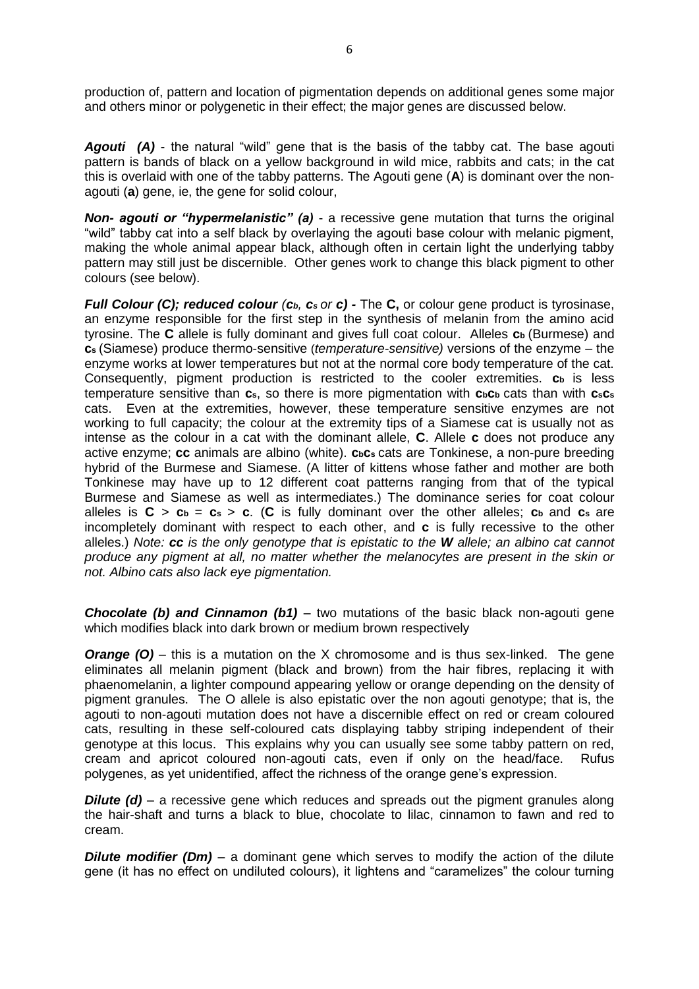production of, pattern and location of pigmentation depends on additional genes some major and others minor or polygenetic in their effect; the major genes are discussed below.

*Agouti (A)* - the natural "wild" gene that is the basis of the tabby cat. The base agouti pattern is bands of black on a yellow background in wild mice, rabbits and cats; in the cat this is overlaid with one of the tabby patterns. The Agouti gene (**A**) is dominant over the nonagouti (**a**) gene, ie, the gene for solid colour,

*Non- agouti or "hypermelanistic" (a)* - a recessive gene mutation that turns the original "wild" tabby cat into a self black by overlaying the agouti base colour with melanic pigment, making the whole animal appear black, although often in certain light the underlying tabby pattern may still just be discernible. Other genes work to change this black pigment to other colours (see below).

*Full Colour (C); reduced colour (cb, cs or c) -* The **C,** or colour gene product is tyrosinase, an enzyme responsible for the first step in the synthesis of melanin from the amino acid tyrosine. The **C** allele is fully dominant and gives full coat colour. Alleles **cb** (Burmese) and **cs** (Siamese) produce thermo-sensitive (*temperature-sensitive)* versions of the enzyme – the enzyme works at lower temperatures but not at the normal core body temperature of the cat. Consequently, pigment production is restricted to the cooler extremities. **cb** is less temperature sensitive than **cs**, so there is more pigmentation with **cbcb** cats than with **csc<sup>s</sup>** cats. Even at the extremities, however, these temperature sensitive enzymes are not working to full capacity; the colour at the extremity tips of a Siamese cat is usually not as intense as the colour in a cat with the dominant allele, **C**. Allele **c** does not produce any active enzyme; **cc** animals are albino (white). **cbcs** cats are Tonkinese, a non-pure breeding hybrid of the Burmese and Siamese. (A litter of kittens whose father and mother are both Tonkinese may have up to 12 different coat patterns ranging from that of the typical Burmese and Siamese as well as intermediates.) The dominance series for coat colour alleles is  $C > c_b = c_s > c$ . (C is fully dominant over the other alleles;  $c_b$  and  $c_s$  are incompletely dominant with respect to each other, and **c** is fully recessive to the other alleles.) *Note: cc is the only genotype that is epistatic to the W allele; an albino cat cannot produce any pigment at all, no matter whether the melanocytes are present in the skin or not. Albino cats also lack eye pigmentation.*

*Chocolate (b) and Cinnamon (b1)* – two mutations of the basic black non-agouti gene which modifies black into dark brown or medium brown respectively

*Orange (O)* – this is a mutation on the X chromosome and is thus sex-linked. The gene eliminates all melanin pigment (black and brown) from the hair fibres, replacing it with phaenomelanin, a lighter compound appearing yellow or orange depending on the density of pigment granules. The O allele is also epistatic over the non agouti genotype; that is, the agouti to non-agouti mutation does not have a discernible effect on red or cream coloured cats, resulting in these self-coloured cats displaying tabby striping independent of their genotype at this locus. This explains why you can usually see some tabby pattern on red, cream and apricot coloured non-agouti cats, even if only on the head/face. Rufus polygenes, as yet unidentified, affect the richness of the orange gene's expression.

*Dilute (d)* – a recessive gene which reduces and spreads out the pigment granules along the hair-shaft and turns a black to blue, chocolate to lilac, cinnamon to fawn and red to cream.

**Dilute modifier (Dm)** – a dominant gene which serves to modify the action of the dilute gene (it has no effect on undiluted colours), it lightens and "caramelizes" the colour turning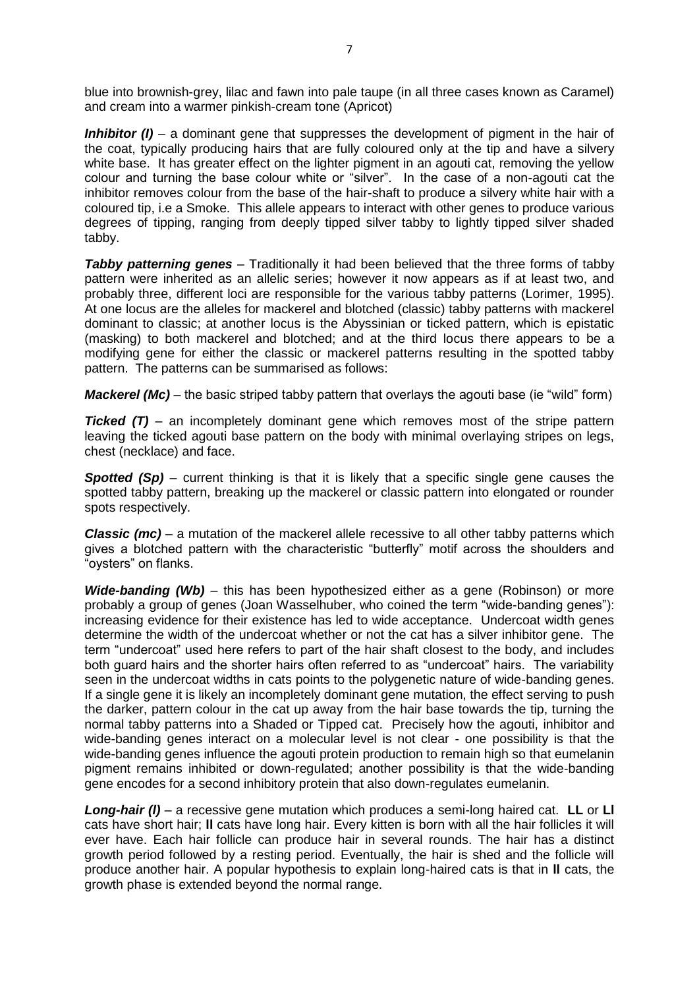blue into brownish-grey, lilac and fawn into pale taupe (in all three cases known as Caramel) and cream into a warmer pinkish-cream tone (Apricot)

*Inhibitor (I)* – a dominant gene that suppresses the development of pigment in the hair of the coat, typically producing hairs that are fully coloured only at the tip and have a silvery white base. It has greater effect on the lighter pigment in an agouti cat, removing the yellow colour and turning the base colour white or "silver". In the case of a non-agouti cat the inhibitor removes colour from the base of the hair-shaft to produce a silvery white hair with a coloured tip, i.e a Smoke. This allele appears to interact with other genes to produce various degrees of tipping, ranging from deeply tipped silver tabby to lightly tipped silver shaded tabby.

**Tabby patterning genes** – Traditionally it had been believed that the three forms of tabby pattern were inherited as an allelic series; however it now appears as if at least two, and probably three, different loci are responsible for the various tabby patterns (Lorimer, 1995). At one locus are the alleles for mackerel and blotched (classic) tabby patterns with mackerel dominant to classic; at another locus is the Abyssinian or ticked pattern, which is epistatic (masking) to both mackerel and blotched; and at the third locus there appears to be a modifying gene for either the classic or mackerel patterns resulting in the spotted tabby pattern. The patterns can be summarised as follows:

*Mackerel (Mc)* – the basic striped tabby pattern that overlays the agouti base (ie "wild" form)

*Ticked (T)* – an incompletely dominant gene which removes most of the stripe pattern leaving the ticked agouti base pattern on the body with minimal overlaying stripes on legs, chest (necklace) and face.

**Spotted (Sp)** – current thinking is that it is likely that a specific single gene causes the spotted tabby pattern, breaking up the mackerel or classic pattern into elongated or rounder spots respectively.

*Classic (mc)* – a mutation of the mackerel allele recessive to all other tabby patterns which gives a blotched pattern with the characteristic "butterfly" motif across the shoulders and "oysters" on flanks.

*Wide-banding (Wb)* – this has been hypothesized either as a gene (Robinson) or more probably a group of genes (Joan Wasselhuber, who coined the term "wide-banding genes"): increasing evidence for their existence has led to wide acceptance. Undercoat width genes determine the width of the undercoat whether or not the cat has a silver inhibitor gene. The term "undercoat" used here refers to part of the hair shaft closest to the body, and includes both guard hairs and the shorter hairs often referred to as "undercoat" hairs. The variability seen in the undercoat widths in cats points to the polygenetic nature of wide-banding genes. If a single gene it is likely an incompletely dominant gene mutation, the effect serving to push the darker, pattern colour in the cat up away from the hair base towards the tip, turning the normal tabby patterns into a Shaded or Tipped cat. Precisely how the agouti, inhibitor and wide-banding genes interact on a molecular level is not clear - one possibility is that the wide-banding genes influence the agouti protein production to remain high so that eumelanin pigment remains inhibited or down-regulated; another possibility is that the wide-banding gene encodes for a second inhibitory protein that also down-regulates eumelanin.

*Long-hair (l)* – a recessive gene mutation which produces a semi-long haired cat. **LL** or **Ll**  cats have short hair; **ll** cats have long hair. Every kitten is born with all the hair follicles it will ever have. Each hair follicle can produce hair in several rounds. The hair has a distinct growth period followed by a resting period. Eventually, the hair is shed and the follicle will produce another hair. A popular hypothesis to explain long-haired cats is that in **ll** cats, the growth phase is extended beyond the normal range.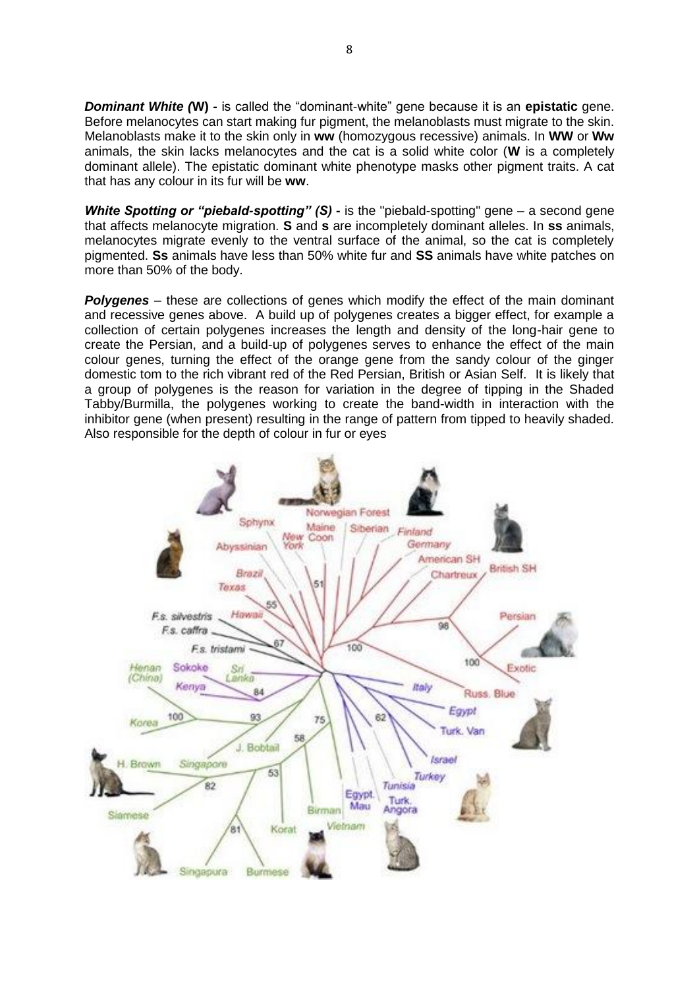*Dominant White (***W) -** is called the "dominant-white" gene because it is an **epistatic** gene. Before melanocytes can start making fur pigment, the melanoblasts must migrate to the skin. Melanoblasts make it to the skin only in **ww** (homozygous recessive) animals. In **WW** or **Ww**  animals, the skin lacks melanocytes and the cat is a solid white color (**W** is a completely dominant allele). The epistatic dominant white phenotype masks other pigment traits. A cat that has any colour in its fur will be **ww**.

**White Spotting or "piebald-spotting" (S) -** is the "piebald-spotting" gene – a second gene that affects melanocyte migration. **S** and **s** are incompletely dominant alleles. In **ss** animals, melanocytes migrate evenly to the ventral surface of the animal, so the cat is completely pigmented. **Ss** animals have less than 50% white fur and **SS** animals have white patches on more than 50% of the body.

*Polygenes* – these are collections of genes which modify the effect of the main dominant and recessive genes above. A build up of polygenes creates a bigger effect, for example a collection of certain polygenes increases the length and density of the long-hair gene to create the Persian, and a build-up of polygenes serves to enhance the effect of the main colour genes, turning the effect of the orange gene from the sandy colour of the ginger domestic tom to the rich vibrant red of the Red Persian, British or Asian Self. It is likely that a group of polygenes is the reason for variation in the degree of tipping in the Shaded Tabby/Burmilla, the polygenes working to create the band-width in interaction with the inhibitor gene (when present) resulting in the range of pattern from tipped to heavily shaded. Also responsible for the depth of colour in fur or eyes

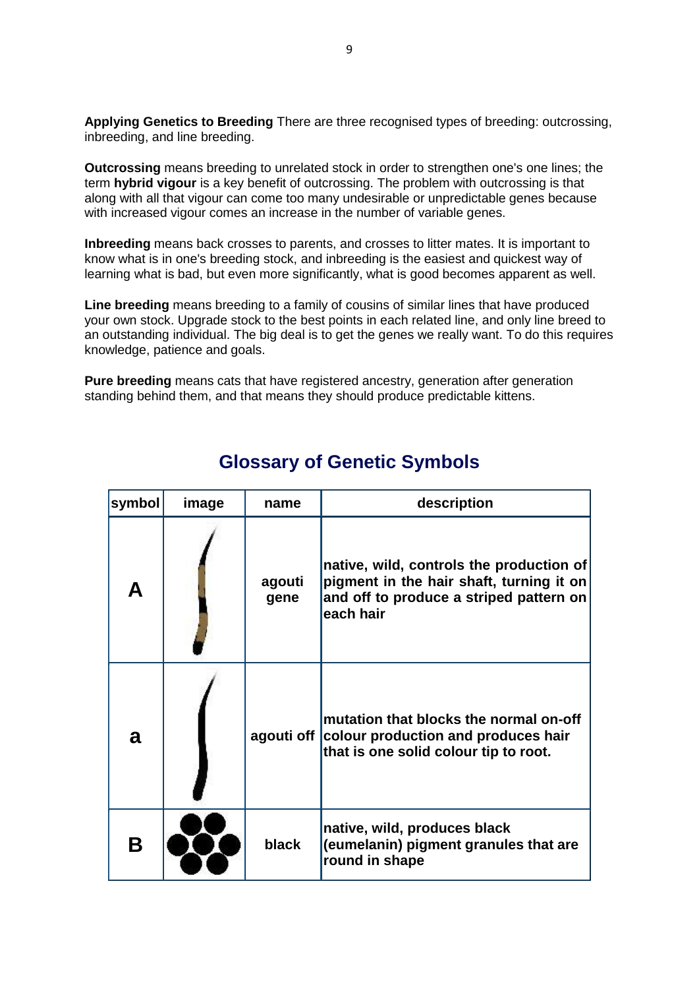**Applying Genetics to Breeding** There are three recognised types of breeding: outcrossing, inbreeding, and line breeding.

**Outcrossing** means breeding to unrelated stock in order to strengthen one's one lines; the term **hybrid vigour** is a key benefit of outcrossing. The problem with outcrossing is that along with all that vigour can come too many undesirable or unpredictable genes because with increased vigour comes an increase in the number of variable genes.

**Inbreeding** means back crosses to parents, and crosses to litter mates. It is important to know what is in one's breeding stock, and inbreeding is the easiest and quickest way of learning what is bad, but even more significantly, what is good becomes apparent as well.

**Line breeding** means breeding to a family of cousins of similar lines that have produced your own stock. Upgrade stock to the best points in each related line, and only line breed to an outstanding individual. The big deal is to get the genes we really want. To do this requires knowledge, patience and goals.

**Pure breeding** means cats that have registered ancestry, generation after generation standing behind them, and that means they should produce predictable kittens.

| symbol | image | name           | description                                                                                                                                  |
|--------|-------|----------------|----------------------------------------------------------------------------------------------------------------------------------------------|
|        |       | agouti<br>gene | native, wild, controls the production of<br>pigment in the hair shaft, turning it on<br>and off to produce a striped pattern on<br>each hair |
| a      |       | agouti off     | mutation that blocks the normal on-off<br>colour production and produces hair<br>that is one solid colour tip to root.                       |
| Β      |       | black          | native, wild, produces black<br>(eumelanin) pigment granules that are<br>round in shape                                                      |

## **Glossary of Genetic Symbols**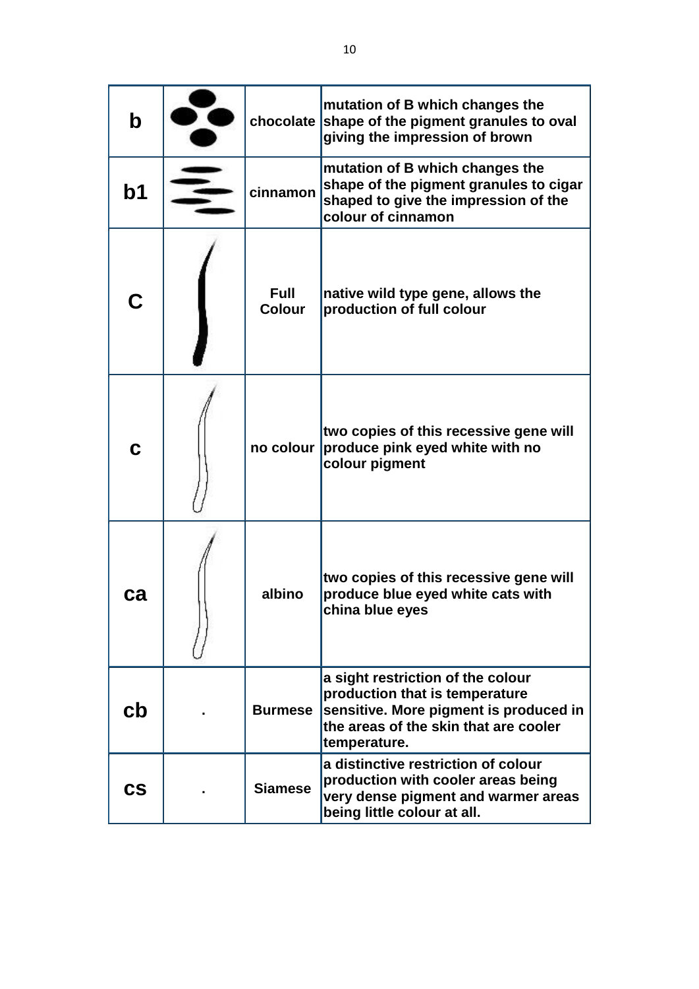| $\mathbf b$            |                              | mutation of B which changes the<br>chocolate shape of the pigment granules to oval<br>giving the impression of brown                                                   |
|------------------------|------------------------------|------------------------------------------------------------------------------------------------------------------------------------------------------------------------|
| b <sub>1</sub>         | cinnamon                     | mutation of B which changes the<br>shape of the pigment granules to cigar<br>shaped to give the impression of the<br>colour of cinnamon                                |
| C                      | <b>Full</b><br><b>Colour</b> | native wild type gene, allows the<br>production of full colour                                                                                                         |
|                        | no colour                    | two copies of this recessive gene will<br>produce pink eyed white with no<br>colour pigment                                                                            |
| са                     | albino                       | two copies of this recessive gene will<br>produce blue eyed white cats with<br>china blue eyes                                                                         |
| cb                     | <b>Burmese</b>               | a sight restriction of the colour<br>production that is temperature<br>sensitive. More pigment is produced in<br>the areas of the skin that are cooler<br>temperature. |
| $\mathbf{c}\mathbf{s}$ | <b>Siamese</b>               | a distinctive restriction of colour<br>production with cooler areas being<br>very dense pigment and warmer areas<br>being little colour at all.                        |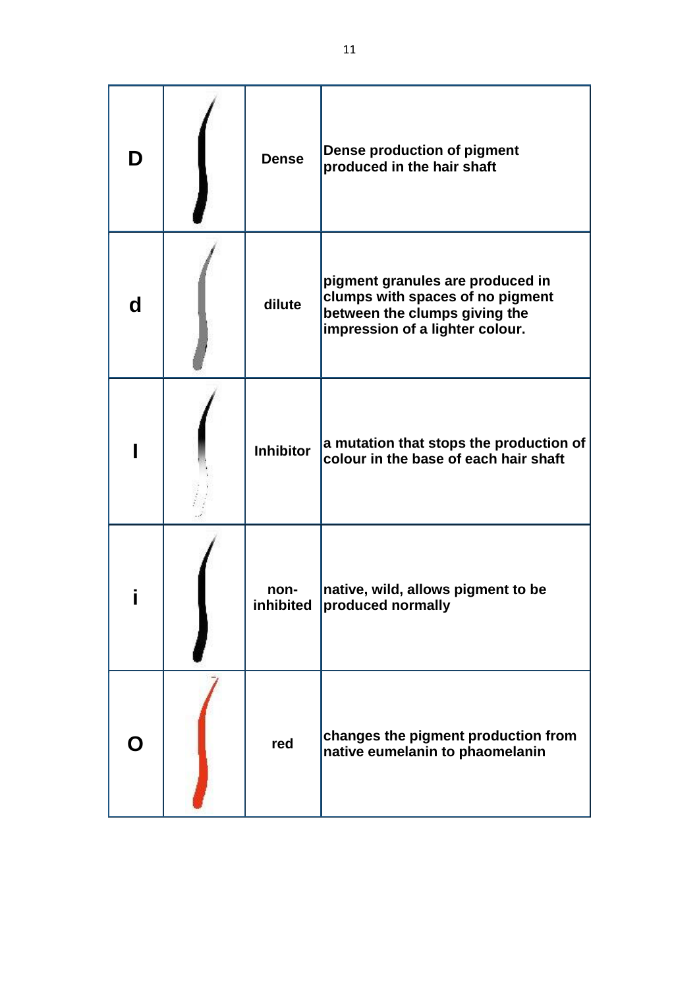| D | <b>Dense</b>      | <b>Dense production of pigment</b><br>produced in the hair shaft                                                                         |
|---|-------------------|------------------------------------------------------------------------------------------------------------------------------------------|
| d | dilute            | pigment granules are produced in<br>clumps with spaces of no pigment<br>between the clumps giving the<br>impression of a lighter colour. |
|   | <b>Inhibitor</b>  | a mutation that stops the production of<br>colour in the base of each hair shaft                                                         |
|   | non-<br>inhibited | native, wild, allows pigment to be<br>produced normally                                                                                  |
|   | red               | changes the pigment production from<br>native eumelanin to phaomelanin                                                                   |